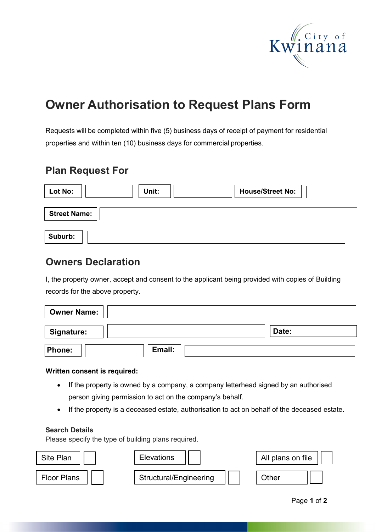

# **Owner Authorisation to Request Plans Form**

Requests will be completed within five (5) business days of receipt of payment for residential properties and within ten (10) business days for commercial properties.

### **Plan Request For**

| <b>Lot No:</b>      | Unit: | <b>House/Street No:</b> |  |  |
|---------------------|-------|-------------------------|--|--|
| <b>Street Name:</b> |       |                         |  |  |
| Suburb:             |       |                         |  |  |

### **Owners Declaration**

I, the property owner, accept and consent to the applicant being provided with copies of Building records for the above property.

| <b>Owner Name:</b> |        |
|--------------------|--------|
| <b>Signature:</b>  | Date:  |
| <b>Phone:</b>      | Email: |

#### **Written consent is required:**

- If the property is owned by a company, a company letterhead signed by an authorised person giving permission to act on the company's behalf.
- If the property is a deceased estate, authorisation to act on behalf of the deceased estate.

#### **Search Details**

Please specify the type of building plans required.